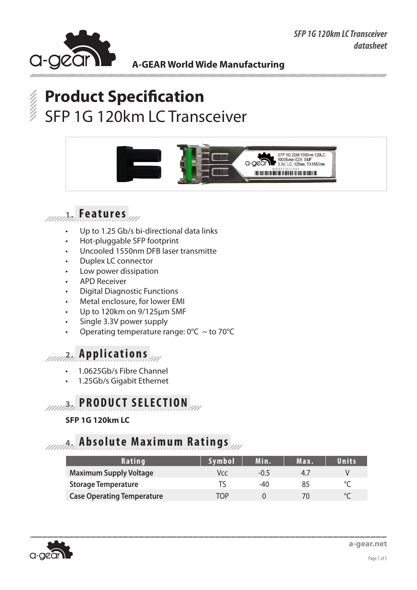



# **Product Specification** SFP 1G 120km LC Transceiver



## **1. Features**

- Up to 1.25 Gb/s bi-directional data links
- Hot-pluggable SFP footprint
- Uncooled 1550nm DFB laser transmitte
- Duplex LC connector
- Low power dissipation
- **APD Receiver**
- **Digital Diagnostic Functions**
- Metal enclosure, for lower EMI
- Up to 120km on 9/125um SMF
- Single 3.3V power supply
- Operating temperature range:  $0^{\circ}$ C ~ to 70 $^{\circ}$ C

### **2. Applications**

- 1.0625Gb/s Fibre Channel
- 1.25Gb/s Gigabit Ethernet

## **2.0. PRODUCT SELECTION**

### **SFP 1G 120km LC**

### **4. Absolute Maximum Ratings**

| Rating                            | Symbol | Min.   | Max. | Units |
|-----------------------------------|--------|--------|------|-------|
| <b>Maximum Supply Voltage</b>     | Vcc    | $-0.5$ | 47   |       |
| <b>Storage Temperature</b>        |        | -40    | 85   |       |
| <b>Case Operating Temperature</b> | TNP    |        |      |       |

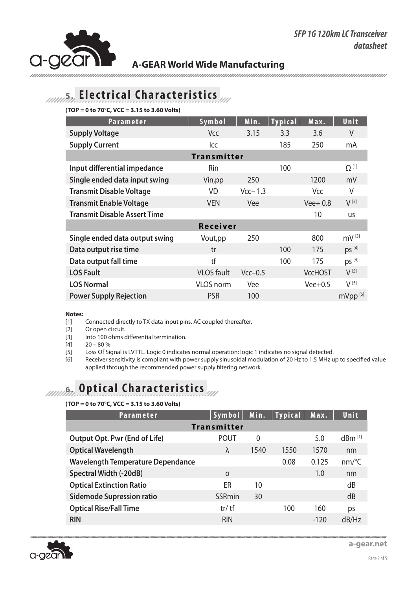

### **A-GEAR World Wide Manufacturing**

ununununun

## **5. Electrical Characteristics**

**(TOP = 0 to 70°C, VCC = 3.15 to 3.60 Volts)**

| <b>Parameter</b>                    | Symbol            | Min.      | <b>Typical</b> | Max.           | Unit                |
|-------------------------------------|-------------------|-----------|----------------|----------------|---------------------|
| <b>Supply Voltage</b>               | Vcc               | 3.15      | 3.3            | 3.6            | V                   |
| <b>Supply Current</b>               | lcc               |           | 185            | 250            | mA                  |
| <b>Transmitter</b>                  |                   |           |                |                |                     |
| Input differential impedance        | Rin               |           | 100            |                | $\Omega^{[1]}$      |
| Single ended data input swing       | Vin, pp           | 250       |                | 1200           | mV                  |
| <b>Transmit Disable Voltage</b>     | <b>VD</b>         | $Vcc-1.3$ |                | Vcc            | V                   |
| <b>Transmit Enable Voltage</b>      | <b>VEN</b>        | Vee       |                | $Vee+0.8$      | $V^{[2]}$           |
| <b>Transmit Disable Assert Time</b> |                   |           |                | 10             | <b>us</b>           |
| Receiver                            |                   |           |                |                |                     |
| Single ended data output swing      | Vout, pp          | 250       |                | 800            | $mV^{[3]}$          |
| Data output rise time               | tr                |           | 100            | 175            | $ps^{[4]}$          |
| Data output fall time               | tf                |           | 100            | 175            | DS <sup>[4]</sup>   |
| <b>LOS Fault</b>                    | <b>VLOS</b> fault | $Vcc-0.5$ |                | <b>VccHOST</b> | $V^{[5]}$           |
| <b>LOS Normal</b>                   | <b>VLOS</b> norm  | Vee       |                | $Vee+0.5$      | $V^{[5]}$           |
| <b>Power Supply Rejection</b>       | <b>PSR</b>        | 100       |                |                | mVpp <sup>[6]</sup> |

#### **Notes:**

[1] Connected directly to TX data input pins. AC coupled thereafter.

[2] Or open circuit.

[3] Into 100 ohms differential termination.

 $[4]$  20 – 80 %

[5] Loss Of Signal is LVTTL. Logic 0 indicates normal operation; logic 1 indicates no signal detected.

[6] Receiver sensitivity is compliant with power supply sinusoidal modulation of 20 Hz to 1.5 MHz up to specified value applied through the recommended power supply filtering network.

## **6.** Optical Characteristics

#### **(TOP = 0 to 70°C, VCC = 3.15 to 3.60 Volts)**

| <b>Parameter</b>                         | Symbol      |          | Min.   Typical | Max.   | Unit                  |  |
|------------------------------------------|-------------|----------|----------------|--------|-----------------------|--|
| <b>Transmitter</b>                       |             |          |                |        |                       |  |
| <b>Output Opt. Pwr (End of Life)</b>     | <b>POUT</b> | $\Omega$ |                | 5.0    | $dBm$ <sup>[1]</sup>  |  |
| <b>Optical Wavelength</b>                | λ           | 1540     | 1550           | 1570   | nm                    |  |
| <b>Wavelength Temperature Dependance</b> |             |          | 0.08           | 0.125  | $nm$ <sup>o</sup> $C$ |  |
| Spectral Width (-20dB)                   | σ           |          |                | 1.0    | nm                    |  |
| <b>Optical Extinction Ratio</b>          | ER          | 10       |                |        | dB                    |  |
| <b>Sidemode Supression ratio</b>         | SSRmin      | 30       |                |        | dB                    |  |
| <b>Optical Rise/Fall Time</b>            | $tr/$ tf    |          | 100            | 160    | ps                    |  |
| <b>RIN</b>                               | <b>RIN</b>  |          |                | $-120$ | dB/Hz                 |  |



**a-gear.net**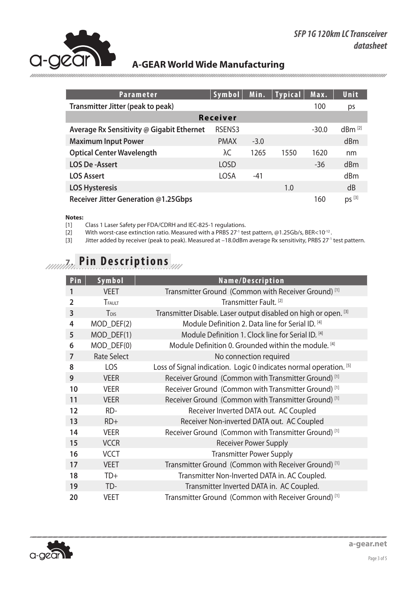

### **A-GEAR World Wide Manufacturing**

| <b>Parameter</b>                          | Symbol <sup>1</sup> | Min.   | Typical | Max.    | Unit              |
|-------------------------------------------|---------------------|--------|---------|---------|-------------------|
| Transmitter Jitter (peak to peak)         |                     |        |         | 100     | ps                |
| <b>Receiver</b>                           |                     |        |         |         |                   |
| Average Rx Sensitivity @ Gigabit Ethernet | RSENS3              |        |         | $-30.0$ | $dBm^{[2]}$       |
| <b>Maximum Input Power</b>                | <b>PMAX</b>         | $-3.0$ |         |         | dBm               |
| <b>Optical Center Wavelength</b>          | λC                  | 1265   | 1550    | 1620    | nm                |
| <b>LOS De-Assert</b>                      | <b>LOSD</b>         |        |         | $-36$   | dBm               |
| <b>LOS Assert</b>                         | LOSA                | $-41$  |         |         | d <sub>Bm</sub>   |
| <b>LOS Hysteresis</b>                     |                     |        | 1.0     |         | dB                |
| Receiver Jitter Generation @1.25Gbps      |                     |        |         | 160     | DS <sup>[3]</sup> |

#### **Notes:**

[1] Class 1 Laser Safety per FDA/CDRH and IEC-825-1 regulations.

[2] With worst-case extinction ratio. Measured with a PRBS 27<sup>-1</sup> test pattern, @1.25Gb/s, BER<10<sup>-12</sup>.

[3] Jitter added by receiver (peak to peak). Measured at -18.0dBm average Rx sensitivity, PRBS 27<sup>-1</sup> test pattern.

## **7. Pin Descriptions**

| Pin            | Symbol             | Name/Description                                                   |
|----------------|--------------------|--------------------------------------------------------------------|
| 1              | <b>VEET</b>        | Transmitter Ground (Common with Receiver Ground) <sup>[1]</sup>    |
| $\overline{2}$ | <b>TFAULT</b>      | Transmitter Fault. <sup>[2]</sup>                                  |
| $\overline{3}$ | T <sub>DIS</sub>   | Transmitter Disable. Laser output disabled on high or open. [3]    |
| 4              | MOD_DEF(2)         | Module Definition 2. Data line for Serial ID. [4]                  |
| 5              | $MOD_DEF(1)$       | Module Definition 1. Clock line for Serial ID. [4]                 |
| 6              | MOD_DEF(0)         | Module Definition 0. Grounded within the module. [4]               |
| $\overline{7}$ | <b>Rate Select</b> | No connection required                                             |
| 8              | <b>LOS</b>         | Loss of Signal indication. Logic 0 indicates normal operation. [5] |
| 9              | <b>VEER</b>        | Receiver Ground (Common with Transmitter Ground) <sup>[1]</sup>    |
| 10             | <b>VEER</b>        | Receiver Ground (Common with Transmitter Ground) <sup>[1]</sup>    |
| 11             | <b>VEER</b>        | Receiver Ground (Common with Transmitter Ground) <sup>[1]</sup>    |
| 12             | RD-                | Receiver Inverted DATA out. AC Coupled                             |
| 13             | $RD+$              | Receiver Non-inverted DATA out. AC Coupled                         |
| 14             | <b>VEER</b>        | Receiver Ground (Common with Transmitter Ground) <sup>[1]</sup>    |
| 15             | <b>VCCR</b>        | <b>Receiver Power Supply</b>                                       |
| 16             | <b>VCCT</b>        | <b>Transmitter Power Supply</b>                                    |
| 17             | <b>VEET</b>        | Transmitter Ground (Common with Receiver Ground) <sup>[1]</sup>    |
| 18             | TD+                | Transmitter Non-Inverted DATA in. AC Coupled.                      |
| 19             | TD-                | Transmitter Inverted DATA in. AC Coupled.                          |
| 20             | <b>VEET</b>        | Transmitter Ground (Common with Receiver Ground) <sup>[1]</sup>    |

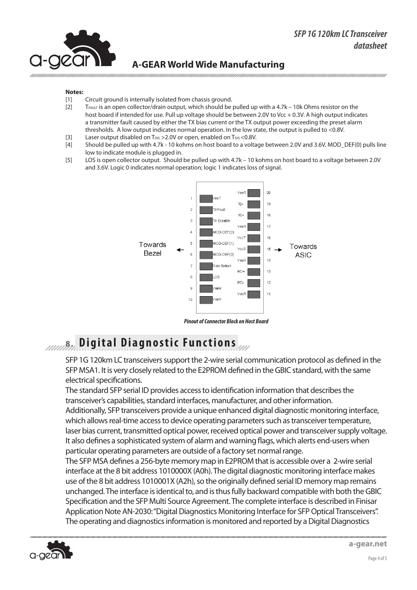### *SFP 1G 120km LC Transceiver datasheet*



### **A-GEAR World Wide Manufacturing**

#### **Notes:**

- [1] Circuit ground is internally isolated from chassis ground.
- [2] T<sub>FAULT</sub> is an open collector/drain output, which should be pulled up with a 4.7k 10k Ohms resistor on the host board if intended for use. Pull up voltage should be between 2.0V to Vcc + 0.3V. A high output indicates a transmitter fault caused by either the TX bias current or the TX output power exceeding the preset alarm thresholds. A low output indicates normal operation. In the low state, the output is pulled to <0.8V.
- [3] Laser output disabled on T<sub>DIS</sub> > 2.0V or open, enabled on T<sub>DIS</sub> < 0.8V.
- [4] Should be pulled up with 4.7k 10 kohms on host board to a voltage between 2.0V and 3.6V. MOD DEF(0) pulls line low to indicate module is plugged in.
- [5] LOS is open collector output. Should be pulled up with 4.7k 10 kohms on host board to a voltage between 2.0V and 3.6V. Logic 0 indicates normal operation; logic 1 indicates loss of signal.



*Pinout of Connector Block on Host Board*

### **8. Digital Diagnostic Functions**

SFP 1G 120km LC transceivers support the 2-wire serial communication protocol as defined in the SFP MSA1. It is very closely related to the E2PROM defined in the GBIC standard, with the same electrical specifications.

The standard SFP serial ID provides access to identification information that describes the transceiver's capabilities, standard interfaces, manufacturer, and other information.

Additionally, SFP transceivers provide a unique enhanced digital diagnostic monitoring interface, which allows real-time access to device operating parameters such as transceiver temperature, laser bias current, transmitted optical power, received optical power and transceiver supply voltage. It also defines a sophisticated system of alarm and warning flags, which alerts end-users when particular operating parameters are outside of a factory set normal range.

The SFP MSA defines a 256-byte memory map in E2PROM that is accessible over a 2-wire serial interface at the 8 bit address 1010000X (A0h). The digital diagnostic monitoring interface makes use of the 8 bit address 1010001X (A2h), so the originally defined serial ID memory map remains unchanged. The interface is identical to, and is thus fully backward compatible with both the GBIC Specification and the SFP Multi Source Agreement. The complete interface is described in Finisar Application Note AN-2030: "Digital Diagnostics Monitoring Interface for SFP Optical Transceivers". The operating and diagnostics information is monitored and reported by a Digital Diagnostics